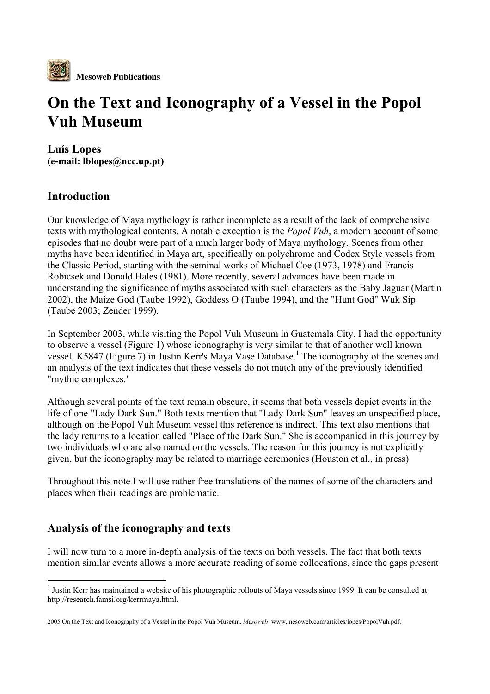

# On the Text and Iconography of a Vessel in the Popol Vuh Museum

Luís Lopes (e-mail: lblopes@ncc.up.pt)

## Introduction

Our knowledge of Maya mythology is rather incomplete as a result of the lack of comprehensive texts with mythological contents. A notable exception is the *Popol Vuh*, a modern account of some episodes that no doubt were part of a much larger body of Maya mythology. Scenes from other myths have been identified in Maya art, specifically on polychrome and Codex Style vessels from the Classic Period, starting with the seminal works of Michael Coe (1973, 1978) and Francis Robicsek and Donald Hales (1981). More recently, several advances have been made in understanding the significance of myths associated with such characters as the Baby Jaguar (Martin 2002), the Maize God (Taube 1992), Goddess O (Taube 1994), and the "Hunt God" Wuk Sip (Taube 2003; Zender 1999).

In September 2003, while visiting the Popol Vuh Museum in Guatemala City, I had the opportunity to observe a vessel (Figure 1) whose iconography is very similar to that of another well known vessel, K5847 (Figure 7) in Justin Kerr's Maya Vase Database.<sup>1</sup> The iconography of the scenes and an analysis of the text indicates that these vessels do not match any of the previously identified "mythic complexes."

Although several points of the text remain obscure, it seems that both vessels depict events in the life of one "Lady Dark Sun." Both texts mention that "Lady Dark Sun" leaves an unspecified place, although on the Popol Vuh Museum vessel this reference is indirect. This text also mentions that the lady returns to a location called "Place of the Dark Sun." She is accompanied in this journey by two individuals who are also named on the vessels. The reason for this journey is not explicitly given, but the iconography may be related to marriage ceremonies (Houston et al., in press)

Throughout this note I will use rather free translations of the names of some of the characters and places when their readings are problematic.

## Analysis of the iconography and texts

I will now turn to a more in-depth analysis of the texts on both vessels. The fact that both texts mention similar events allows a more accurate reading of some collocations, since the gaps present

 $\frac{1}{1}$  $<sup>1</sup>$  Justin Kerr has maintained a website of his photographic rollouts of Maya vessels since 1999. It can be consulted at</sup> http://research.famsi.org/kerrmaya.html.

<sup>2005</sup> On the Text and Iconography of a Vessel in the Popol Vuh Museum. *Mesoweb*: www.mesoweb.com/articles/lopes/PopolVuh.pdf.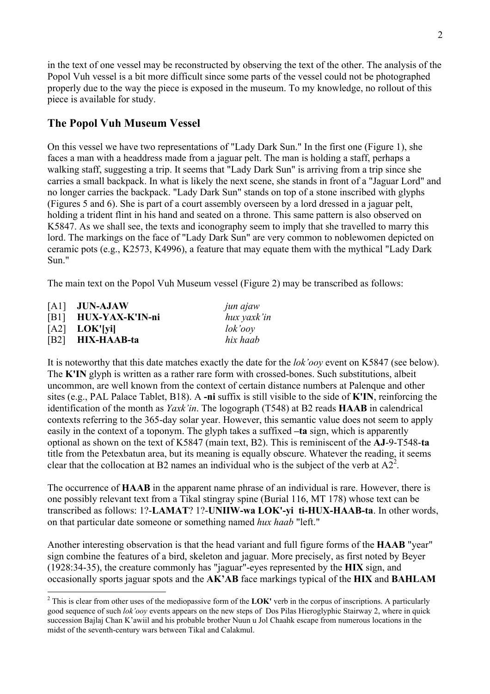in the text of one vessel may be reconstructed by observing the text of the other. The analysis of the Popol Vuh vessel is a bit more difficult since some parts of the vessel could not be photographed properly due to the way the piece is exposed in the museum. To my knowledge, no rollout of this piece is available for study.

### The Popol Vuh Museum Vessel

On this vessel we have two representations of "Lady Dark Sun." In the first one (Figure 1), she faces a man with a headdress made from a jaguar pelt. The man is holding a staff, perhaps a walking staff, suggesting a trip. It seems that "Lady Dark Sun" is arriving from a trip since she carries a small backpack. In what is likely the next scene, she stands in front of a "Jaguar Lord" and no longer carries the backpack. "Lady Dark Sun" stands on top of a stone inscribed with glyphs (Figures 5 and 6). She is part of a court assembly overseen by a lord dressed in a jaguar pelt, holding a trident flint in his hand and seated on a throne. This same pattern is also observed on K5847. As we shall see, the texts and iconography seem to imply that she travelled to marry this lord. The markings on the face of "Lady Dark Sun" are very common to noblewomen depicted on ceramic pots (e.g., K2573, K4996), a feature that may equate them with the mythical "Lady Dark Sun."

The main text on the Popol Vuh Museum vessel (Figure 2) may be transcribed as follows:

| $[A1]$ JUN-AJAW      | jun ajaw      |
|----------------------|---------------|
| [B1] HUX-YAX-K'IN-ni | hux yaxk'in   |
| $[A2]$ LOK'[yi]      | $\ell$ ok'ooy |
| [B2] HIX-HAAB-ta     | hix haab      |

It is noteworthy that this date matches exactly the date for the *lok'ooy* event on K5847 (see below). The K'IN glyph is written as a rather rare form with crossed-bones. Such substitutions, albeit uncommon, are well known from the context of certain distance numbers at Palenque and other sites (e.g., PAL Palace Tablet, B18). A -ni suffix is still visible to the side of K'IN, reinforcing the identification of the month as *Yaxk'in*. The logograph (T548) at B2 reads HAAB in calendrical contexts referring to the 365-day solar year. However, this semantic value does not seem to apply easily in the context of a toponym. The glyph takes a suffixed -ta sign, which is apparently optional as shown on the text of K5847 (main text, B2). This is reminiscent of the AJ-9-T548-ta title from the Petexbatun area, but its meaning is equally obscure. Whatever the reading, it seems clear that the collocation at B2 names an individual who is the subject of the verb at  $A2^2$ .

The occurrence of **HAAB** in the apparent name phrase of an individual is rare. However, there is one possibly relevant text from a Tikal stingray spine (Burial 116, MT 178) whose text can be transcribed as follows: 1?-LAMAT? 1?-UNIIW-wa LOK'-yi ti-HUX-HAAB-ta. In other words, on that particular date someone or something named *hux haab* "left."

Another interesting observation is that the head variant and full figure forms of the **HAAB** "year" sign combine the features of a bird, skeleton and jaguar. More precisely, as first noted by Beyer (1928:34-35), the creature commonly has "jaguar"-eyes represented by the HIX sign, and occasionally sports jaguar spots and the AK'AB face markings typical of the HIX and BAHLAM

 $\frac{1}{2}$  $2$  This is clear from other uses of the mediopassive form of the LOK' verb in the corpus of inscriptions. A particularly good sequence of such *lok'ooy* events appears on the new steps of Dos Pilas Hieroglyphic Stairway 2, where in quick succession Bajlaj Chan K'awiil and his probable brother Nuun u Jol Chaahk escape from numerous locations in the midst of the seventh-century wars between Tikal and Calakmul.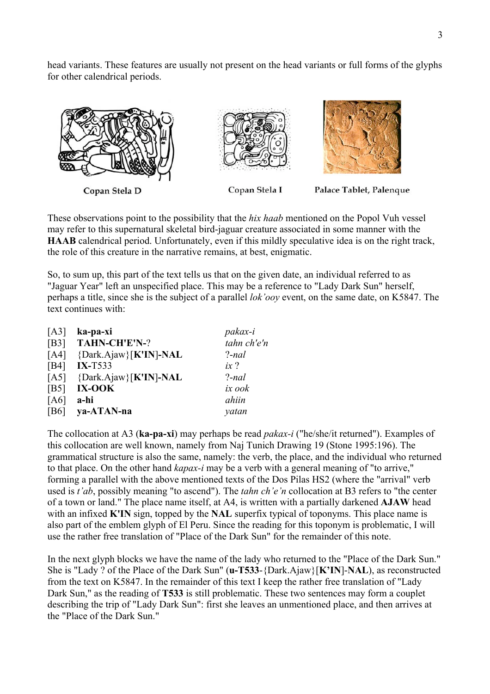head variants. These features are usually not present on the head variants or full forms of the glyphs for other calendrical periods.



Copan Stela D

Copan Stela I

Palace Tablet, Palenque

These observations point to the possibility that the *hix haab* mentioned on the Popol Vuh vessel may refer to this supernatural skeletal bird-jaguar creature associated in some manner with the HAAB calendrical period. Unfortunately, even if this mildly speculative idea is on the right track, the role of this creature in the narrative remains, at best, enigmatic.

So, to sum up, this part of the text tells us that on the given date, an individual referred to as "Jaguar Year" left an unspecified place. This may be a reference to "Lady Dark Sun" herself, perhaps a title, since she is the subject of a parallel *lok'ooy* event, on the same date, on K5847. The text continues with:

| [A3] | ka-pa-xi              | pakax-i     |
|------|-----------------------|-------------|
| [B3] | TAHN-CH'E'N-?         | tahn ch'e'n |
| [A4] | {Dark.Ajaw}[K'IN]-NAL | $?$ -nal    |
| [B4] | $IX-T533$             | $ix$ ?      |
| [A5] | {Dark.Ajaw}[K'IN]-NAL | $?$ -nal    |
| [B5] | IX-OOK                | ix ook      |
| [A6] | a-hi                  | ahiin       |
| [B6] | ya-ATAN-na            | yatan       |

The collocation at A3 (ka-pa-xi) may perhaps be read *pakax-i* ("he/she/it returned"). Examples of this collocation are well known, namely from Naj Tunich Drawing 19 (Stone 1995:196). The grammatical structure is also the same, namely: the verb, the place, and the individual who returned to that place. On the other hand *kapax-i* may be a verb with a general meaning of "to arrive," forming a parallel with the above mentioned texts of the Dos Pilas HS2 (where the "arrival" verb used is *t'ab*, possibly meaning "to ascend"). The *tahn ch'e'n* collocation at B3 refers to "the center of a town or land." The place name itself, at A4, is written with a partially darkened AJAW head with an infixed **K'IN** sign, topped by the **NAL** superfix typical of toponyms. This place name is also part of the emblem glyph of El Peru. Since the reading for this toponym is problematic, I will use the rather free translation of "Place of the Dark Sun" for the remainder of this note.

In the next glyph blocks we have the name of the lady who returned to the "Place of the Dark Sun." She is "Lady ? of the Place of the Dark Sun" (u-T533-{Dark.Ajaw}[K'IN]-NAL), as reconstructed from the text on K5847. In the remainder of this text I keep the rather free translation of "Lady Dark Sun," as the reading of **T533** is still problematic. These two sentences may form a couplet describing the trip of "Lady Dark Sun": first she leaves an unmentioned place, and then arrives at the "Place of the Dark Sun."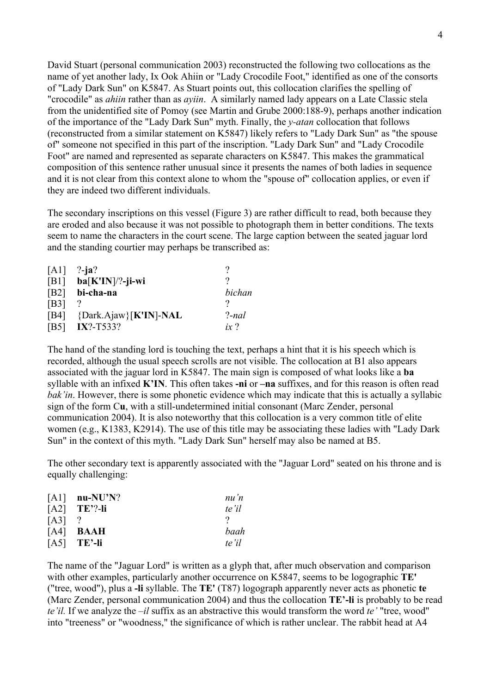David Stuart (personal communication 2003) reconstructed the following two collocations as the name of yet another lady, Ix Ook Ahiin or "Lady Crocodile Foot," identified as one of the consorts of "Lady Dark Sun" on K5847. As Stuart points out, this collocation clarifies the spelling of "crocodile" as *ahiin* rather than as *ayiin*. A similarly named lady appears on a Late Classic stela from the unidentified site of Pomoy (see Martin and Grube 2000:188-9), perhaps another indication of the importance of the "Lady Dark Sun" myth. Finally, the *y-atan* collocation that follows (reconstructed from a similar statement on K5847) likely refers to "Lady Dark Sun" as "the spouse of" someone not specified in this part of the inscription. "Lady Dark Sun" and "Lady Crocodile Foot" are named and represented as separate characters on K5847. This makes the grammatical composition of this sentence rather unusual since it presents the names of both ladies in sequence and it is not clear from this context alone to whom the "spouse of" collocation applies, or even if they are indeed two different individuals.

The secondary inscriptions on this vessel (Figure 3) are rather difficult to read, both because they are eroded and also because it was not possible to photograph them in better conditions. The texts seem to name the characters in the court scene. The large caption between the seated jaguar lord and the standing courtier may perhaps be transcribed as:

| [A1]          | $?$ -ja?              |             |
|---------------|-----------------------|-------------|
| [B1]          | $ba[K'IN]/?$ -ji-wi   |             |
| [B2]          | bi-cha-na             | bichan      |
| [ <b>B3</b> ] |                       |             |
| [B4]          | {Dark.Ajaw}[K'IN]-NAL | $?$ -nal    |
| <b>IB51</b>   | $IX$ ?-T533?          | ix $\gamma$ |

The hand of the standing lord is touching the text, perhaps a hint that it is his speech which is recorded, although the usual speech scrolls are not visible. The collocation at B1 also appears associated with the jaguar lord in K5847. The main sign is composed of what looks like a ba syllable with an infixed  $K'IN$ . This often takes -ni or  $-\textbf{n}a$  suffixes, and for this reason is often read *bak'in*. However, there is some phonetic evidence which may indicate that this is actually a syllabic sign of the form Cu, with a still-undetermined initial consonant (Marc Zender, personal communication 2004). It is also noteworthy that this collocation is a very common title of elite women (e.g., K1383, K2914). The use of this title may be associating these ladies with "Lady Dark Sun" in the context of this myth. "Lady Dark Sun" herself may also be named at B5.

The other secondary text is apparently associated with the "Jaguar Lord" seated on his throne and is equally challenging:

|      | $[A1]$ nu-NU'N?    | nu'n  |
|------|--------------------|-------|
|      | $[A2]$ TE'?-li     | te'il |
| [A3] |                    |       |
|      | $[A4]$ <b>BAAH</b> | baah  |
|      | $[A5]$ TE'-li      | te'il |

The name of the "Jaguar Lord" is written as a glyph that, after much observation and comparison with other examples, particularly another occurrence on K5847, seems to be logographic TE' ("tree, wood"), plus a -li syllable. The TE' (T87) logograph apparently never acts as phonetic te (Marc Zender, personal communication 2004) and thus the collocation TE'-li is probably to be read *te'il.* If we analyze the *–il* suffix as an abstractive this would transform the word *te'* "tree, wood" into "treeness" or "woodness," the significance of which is rather unclear. The rabbit head at A4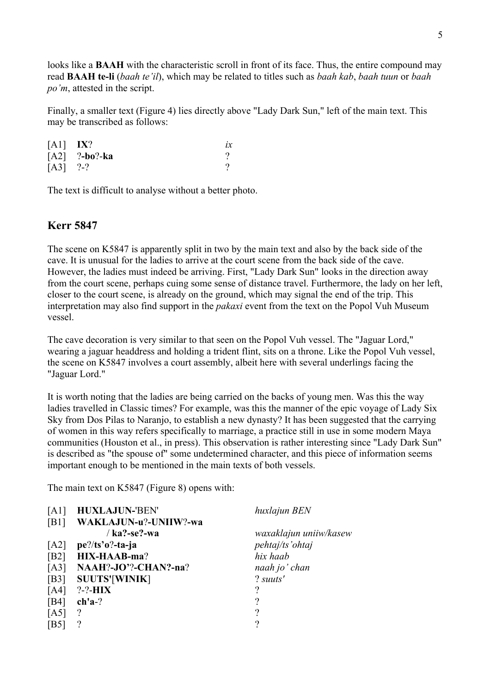looks like a **BAAH** with the characteristic scroll in front of its face. Thus, the entire compound may read BAAH te-li (*baah te'il*), which may be related to titles such as *baah kab*, *baah tuun* or *baah po'm*, attested in the script.

Finally, a smaller text (Figure 4) lies directly above "Lady Dark Sun," left of the main text. This may be transcribed as follows:

| $[A1]$ IX? |                 |  |
|------------|-----------------|--|
|            | $[A2]$ ?-bo?-ka |  |
| $[A3]$ ?-? |                 |  |

The text is difficult to analyse without a better photo.

#### Kerr 5847

The scene on K5847 is apparently split in two by the main text and also by the back side of the cave. It is unusual for the ladies to arrive at the court scene from the back side of the cave. However, the ladies must indeed be arriving. First, "Lady Dark Sun" looks in the direction away from the court scene, perhaps cuing some sense of distance travel. Furthermore, the lady on her left, closer to the court scene, is already on the ground, which may signal the end of the trip. This interpretation may also find support in the *pakaxi* event from the text on the Popol Vuh Museum vessel.

The cave decoration is very similar to that seen on the Popol Vuh vessel. The "Jaguar Lord," wearing a jaguar headdress and holding a trident flint, sits on a throne. Like the Popol Vuh vessel, the scene on K5847 involves a court assembly, albeit here with several underlings facing the "Jaguar Lord."

It is worth noting that the ladies are being carried on the backs of young men. Was this the way ladies travelled in Classic times? For example, was this the manner of the epic voyage of Lady Six Sky from Dos Pilas to Naranjo, to establish a new dynasty? It has been suggested that the carrying of women in this way refers specifically to marriage, a practice still in use in some modern Maya communities (Houston et al., in press). This observation is rather interesting since "Lady Dark Sun" is described as "the spouse of" some undetermined character, and this piece of information seems important enough to be mentioned in the main texts of both vessels.

The main text on K5847 (Figure 8) opens with:

| A1   | <b>HUXLAJUN-'BEN'</b> | huxlajun BEN           |
|------|-----------------------|------------------------|
| [B1] | WAKLAJUN-u?-UNIIW?-wa |                        |
|      | $/$ ka?-se?-wa        | waxaklajun uniiw/kasew |
| [A2] | $pe$ ?/ts'o?-ta-ja    | pehtaj/ts'ohtaj        |
| [B2] | <b>HIX-HAAB-ma?</b>   | hix haab               |
| [A3] | NAAH?-JO'?-CHAN?-na?  | naah jo' chan          |
| [B3] | <b>SUUTS'[WINIK]</b>  | ? suuts'               |
| [A4] | $? - ? - HIX$         |                        |
| [B4] | $ch'a-?$              | 9                      |
| [A5] | ?                     | റ                      |
| [B5  |                       | റ                      |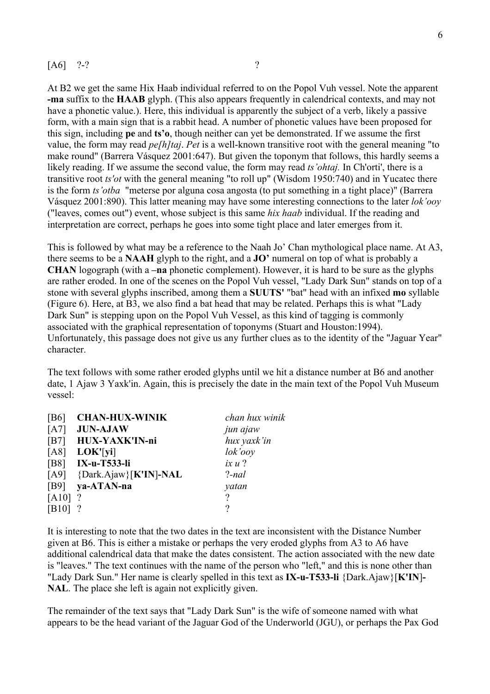#### $[A6]$  ?-? ?

At B2 we get the same Hix Haab individual referred to on the Popol Vuh vessel. Note the apparent -ma suffix to the HAAB glyph. (This also appears frequently in calendrical contexts, and may not have a phonetic value.). Here, this individual is apparently the subject of a verb, likely a passive form, with a main sign that is a rabbit head. A number of phonetic values have been proposed for this sign, including pe and ts'o, though neither can yet be demonstrated. If we assume the first value, the form may read *pe[h]taj*. *Pet* is a well-known transitive root with the general meaning "to make round" (Barrera Vásquez 2001:647). But given the toponym that follows, this hardly seems a likely reading. If we assume the second value, the form may read *ts'ohtaj.* In Ch'orti', there is a transitive root *ts'ot* with the general meaning "to roll up" (Wisdom 1950:740) and in Yucatec there is the form *ts'otba* "meterse por alguna cosa angosta (to put something in a tight place)" (Barrera Vásquez 2001:890). This latter meaning may have some interesting connections to the later *lok'ooy* ("leaves, comes out") event, whose subject is this same *hix haab* individual. If the reading and interpretation are correct, perhaps he goes into some tight place and later emerges from it.

This is followed by what may be a reference to the Naah Jo' Chan mythological place name. At A3, there seems to be a NAAH glyph to the right, and a  $JO'$  numeral on top of what is probably a CHAN logograph (with a –na phonetic complement). However, it is hard to be sure as the glyphs are rather eroded. In one of the scenes on the Popol Vuh vessel, "Lady Dark Sun" stands on top of a stone with several glyphs inscribed, among them a SUUTS' "bat" head with an infixed mo syllable (Figure 6). Here, at B3, we also find a bat head that may be related. Perhaps this is what "Lady Dark Sun" is stepping upon on the Popol Vuh Vessel, as this kind of tagging is commonly associated with the graphical representation of toponyms (Stuart and Houston:1994). Unfortunately, this passage does not give us any further clues as to the identity of the "Jaguar Year" character.

The text follows with some rather eroded glyphs until we hit a distance number at B6 and another date, 1 Ajaw 3 Yaxk'in. Again, this is precisely the date in the main text of the Popol Vuh Museum vessel:

| <b>CHAN-HUX-WINIK</b>        | chan hux winik |
|------------------------------|----------------|
| <b>JUN-AJAW</b>              | jun ajaw       |
| HUX-YAXK'IN-ni               | hux yaxk'in    |
| LOK'[yi]                     | lok'ooy        |
| <b>IX-u-T533-li</b>          | ix u ?         |
| $[A9]$ {Dark.Ajaw}[K'IN]-NAL | $?$ -nal       |
| $[B9]$ ya-ATAN-na            | yatan          |
| $[A10]$ ?                    | 9              |
|                              | റ              |
|                              |                |

It is interesting to note that the two dates in the text are inconsistent with the Distance Number given at B6. This is either a mistake or perhaps the very eroded glyphs from A3 to A6 have additional calendrical data that make the dates consistent. The action associated with the new date is "leaves." The text continues with the name of the person who "left," and this is none other than "Lady Dark Sun." Her name is clearly spelled in this text as IX-u-T533-li {Dark.Ajaw}[K'IN]-NAL. The place she left is again not explicitly given.

The remainder of the text says that "Lady Dark Sun" is the wife of someone named with what appears to be the head variant of the Jaguar God of the Underworld (JGU), or perhaps the Pax God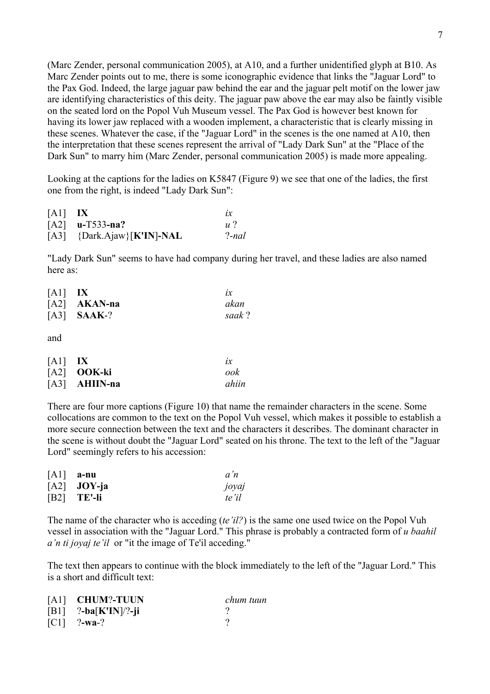(Marc Zender, personal communication 2005), at A10, and a further unidentified glyph at B10. As Marc Zender points out to me, there is some iconographic evidence that links the "Jaguar Lord" to the Pax God. Indeed, the large jaguar paw behind the ear and the jaguar pelt motif on the lower jaw are identifying characteristics of this deity. The jaguar paw above the ear may also be faintly visible on the seated lord on the Popol Vuh Museum vessel. The Pax God is however best known for having its lower jaw replaced with a wooden implement, a characteristic that is clearly missing in these scenes. Whatever the case, if the "Jaguar Lord" in the scenes is the one named at A10, then the interpretation that these scenes represent the arrival of "Lady Dark Sun" at the "Place of the Dark Sun" to marry him (Marc Zender, personal communication 2005) is made more appealing.

Looking at the captions for the ladies on K5847 (Figure 9) we see that one of the ladies, the first one from the right, is indeed "Lady Dark Sun":

| $[A1]$ IX |                              | 1x             |
|-----------|------------------------------|----------------|
|           | $[A2]$ u-T533-na?            | $\overline{u}$ |
|           | $[A3]$ {Dark.Ajaw}[K'IN]-NAL | ?-nal          |

"Lady Dark Sun" seems to have had company during her travel, and these ladies are also named here as:

| $[A1]$ IX |                      | $l\mathcal{X}$ |
|-----------|----------------------|----------------|
|           | $[A2]$ AKAN-na       | akan           |
|           | $[A3]$ <b>SAAK-?</b> | saak?          |

and

| $[A1]$ IX |                 | $l\mathcal{X}$ |
|-----------|-----------------|----------------|
|           | $[A2]$ OOK-ki   | ook            |
|           | $[A3]$ AHIIN-na | ahiin          |

There are four more captions (Figure 10) that name the remainder characters in the scene. Some collocations are common to the text on the Popol Vuh vessel, which makes it possible to establish a more secure connection between the text and the characters it describes. The dominant character in the scene is without doubt the "Jaguar Lord" seated on his throne. The text to the left of the "Jaguar Lord" seemingly refers to his accession:

| $[A1]$ a-nu   | a'n   |
|---------------|-------|
| $[A2]$ JOY-ja | joyaj |
| $[B2]$ TE'-li | te'il |

The name of the character who is acceding (*te'il?*) is the same one used twice on the Popol Vuh vessel in association with the "Jaguar Lord." This phrase is probably a contracted form of *u baahil a'n ti joyaj te'il* or "it the image of Te'il acceding."

The text then appears to continue with the block immediately to the left of the "Jaguar Lord." This is a short and difficult text:

| [A1] CHUM?-TUUN        | chum tuun |
|------------------------|-----------|
| $[B1]$ ?-ba[K'IN]/?-ji |           |
| $[CI]$ ?-wa-?          |           |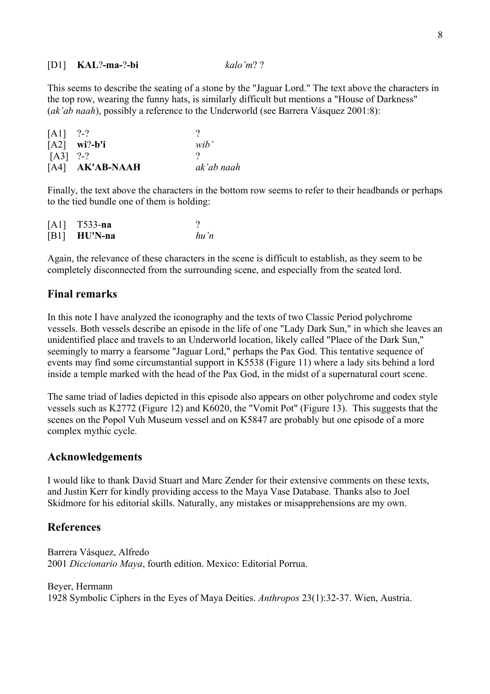[D1] KAL?-ma-?-bi *kalo'm*? ?

This seems to describe the seating of a stone by the "Jaguar Lord." The text above the characters in the top row, wearing the funny hats, is similarly difficult but mentions a "House of Darkness" (*ak'ab naah*), possibly a reference to the Underworld (see Barrera Vásquez 2001:8):

| [A1]       | $2-2$               |            |
|------------|---------------------|------------|
|            | $[A2]$ wi?-b'i      | wib'       |
| $[A3]$ ?-? |                     |            |
|            | $[A4]$ $AK'AB-NAAH$ | ak'ab naah |

Finally, the text above the characters in the bottom row seems to refer to their headbands or perhaps to the tied bundle one of them is holding:

| $[A1]$ T533-na |      |
|----------------|------|
| $[B1]$ HU'N-na | hu'n |

Again, the relevance of these characters in the scene is difficult to establish, as they seem to be completely disconnected from the surrounding scene, and especially from the seated lord.

#### Final remarks

In this note I have analyzed the iconography and the texts of two Classic Period polychrome vessels. Both vessels describe an episode in the life of one "Lady Dark Sun," in which she leaves an unidentified place and travels to an Underworld location, likely called "Place of the Dark Sun," seemingly to marry a fearsome "Jaguar Lord," perhaps the Pax God. This tentative sequence of events may find some circumstantial support in K5538 (Figure 11) where a lady sits behind a lord inside a temple marked with the head of the Pax God, in the midst of a supernatural court scene.

The same triad of ladies depicted in this episode also appears on other polychrome and codex style vessels such as K2772 (Figure 12) and K6020, the "Vomit Pot" (Figure 13). This suggests that the scenes on the Popol Vuh Museum vessel and on K5847 are probably but one episode of a more complex mythic cycle.

#### Acknowledgements

I would like to thank David Stuart and Marc Zender for their extensive comments on these texts, and Justin Kerr for kindly providing access to the Maya Vase Database. Thanks also to Joel Skidmore for his editorial skills. Naturally, any mistakes or misapprehensions are my own.

#### References

Barrera Vásquez, Alfredo 2001 *Diccionario Maya*, fourth edition. Mexico: Editorial Porrua.

Beyer, Hermann 1928 Symbolic Ciphers in the Eyes of Maya Deities. *Anthropos* 23(1):32-37. Wien, Austria.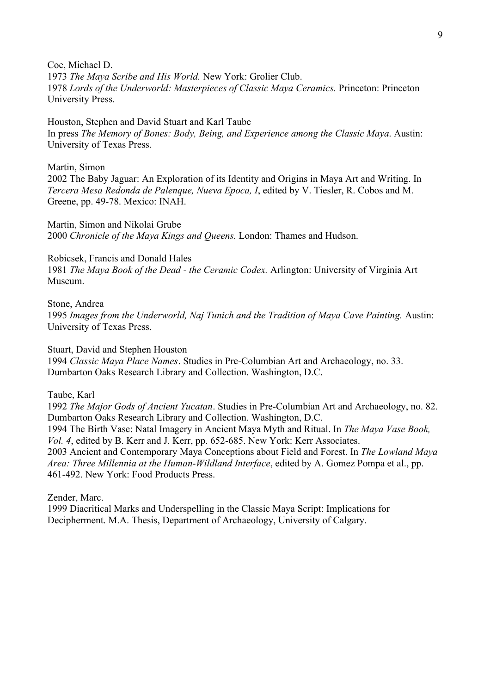Coe, Michael D. 1973 *The Maya Scribe and His World.* New York: Grolier Club. 1978 *Lords of the Underworld: Masterpieces of Classic Maya Ceramics.* Princeton: Princeton University Press.

Houston, Stephen and David Stuart and Karl Taube In press *The Memory of Bones: Body, Being, and Experience among the Classic Maya*. Austin: University of Texas Press.

Martin, Simon 2002 The Baby Jaguar: An Exploration of its Identity and Origins in Maya Art and Writing. In *Tercera Mesa Redonda de Palenque, Nueva Epoca, I*, edited by V. Tiesler, R. Cobos and M. Greene, pp. 49-78. Mexico: INAH.

Martin, Simon and Nikolai Grube 2000 *Chronicle of the Maya Kings and Queens.* London: Thames and Hudson.

Robicsek, Francis and Donald Hales 1981 *The Maya Book of the Dead - the Ceramic Codex.* Arlington: University of Virginia Art Museum.

Stone, Andrea 1995 *Images from the Underworld, Naj Tunich and the Tradition of Maya Cave Painting.* Austin: University of Texas Press.

Stuart, David and Stephen Houston

1994 *Classic Maya Place Names*. Studies in Pre-Columbian Art and Archaeology, no. 33. Dumbarton Oaks Research Library and Collection. Washington, D.C.

Taube, Karl

1992 *The Major Gods of Ancient Yucatan*. Studies in Pre-Columbian Art and Archaeology, no. 82. Dumbarton Oaks Research Library and Collection. Washington, D.C.

1994 The Birth Vase: Natal Imagery in Ancient Maya Myth and Ritual. In *The Maya Vase Book, Vol. 4*, edited by B. Kerr and J. Kerr, pp. 652-685. New York: Kerr Associates.

2003 Ancient and Contemporary Maya Conceptions about Field and Forest. In *The Lowland Maya Area: Three Millennia at the Human-Wildland Interface*, edited by A. Gomez Pompa et al., pp. 461-492. New York: Food Products Press.

Zender, Marc.

1999 Diacritical Marks and Underspelling in the Classic Maya Script: Implications for Decipherment. M.A. Thesis, Department of Archaeology, University of Calgary.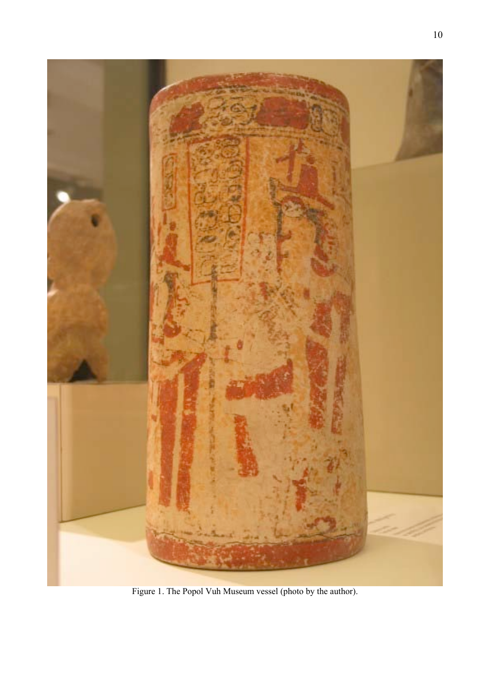

Figure 1. The Popol Vuh Museum vessel (photo by the author).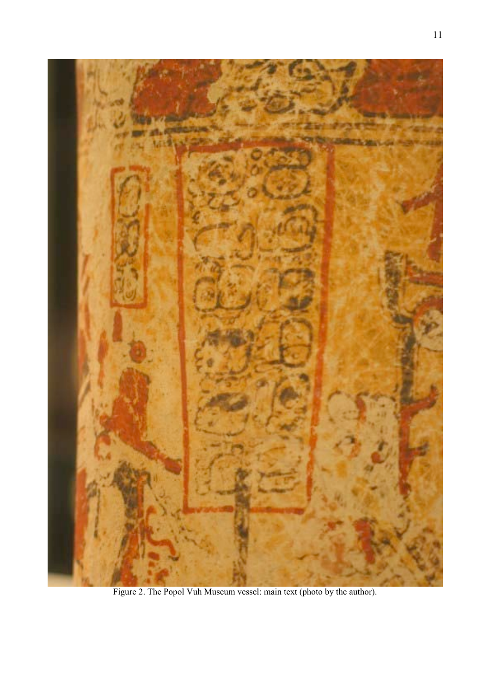

Figure 2. The Popol Vuh Museum vessel: main text (photo by the author).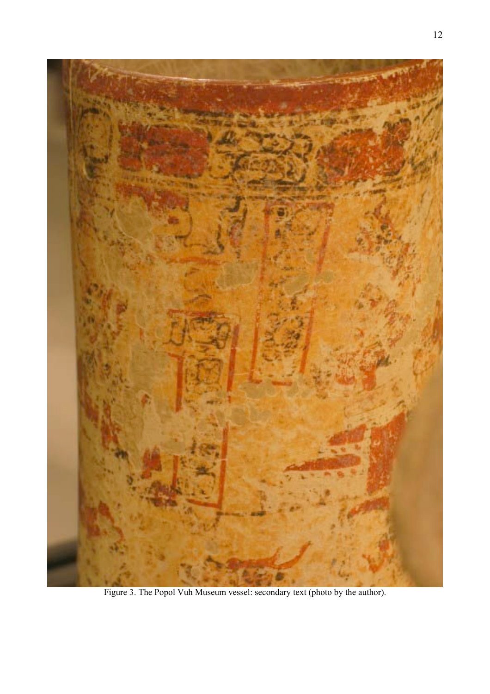

Figure 3. The Popol Vuh Museum vessel: secondary text (photo by the author).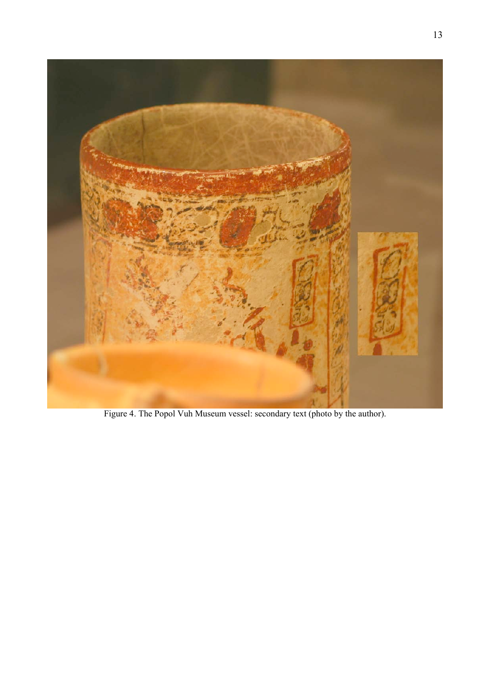

Figure 4. The Popol Vuh Museum vessel: secondary text (photo by the author).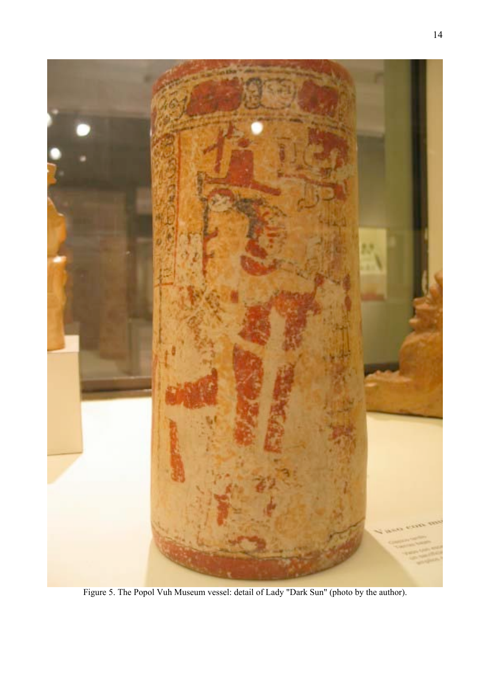

Figure 5. The Popol Vuh Museum vessel: detail of Lady "Dark Sun" (photo by the author).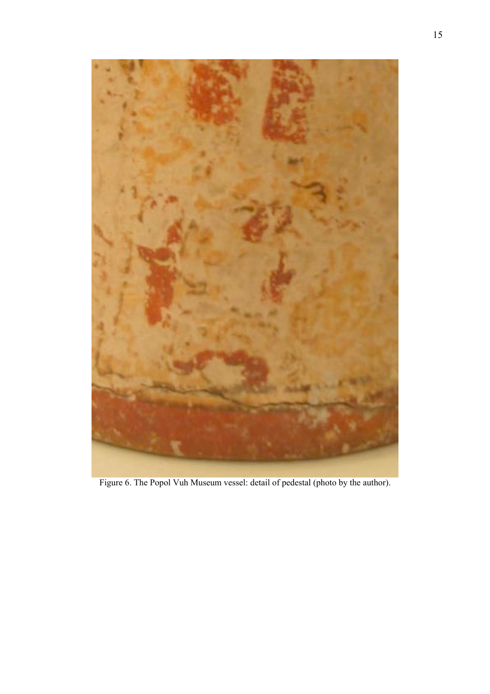

Figure 6. The Popol Vuh Museum vessel: detail of pedestal (photo by the author).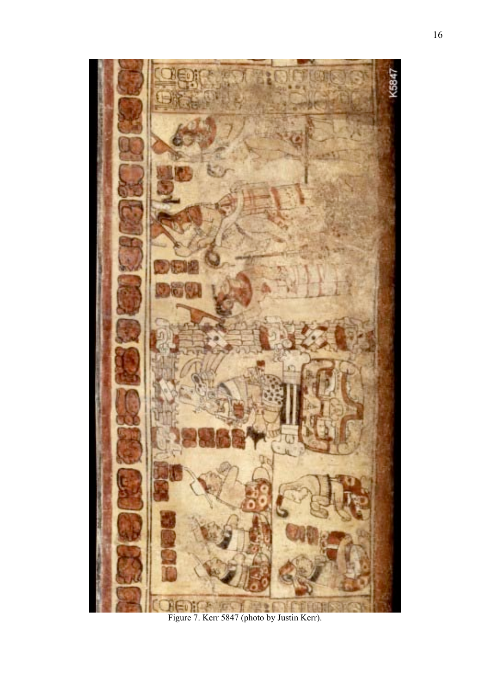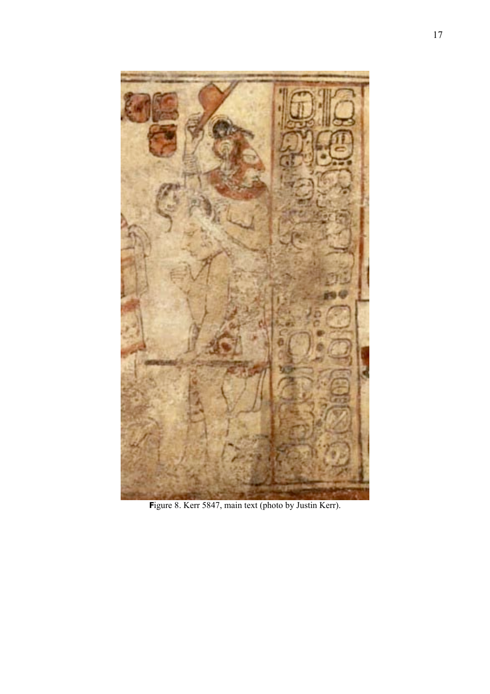

Figure 8. Kerr 5847, main text (photo by Justin Kerr).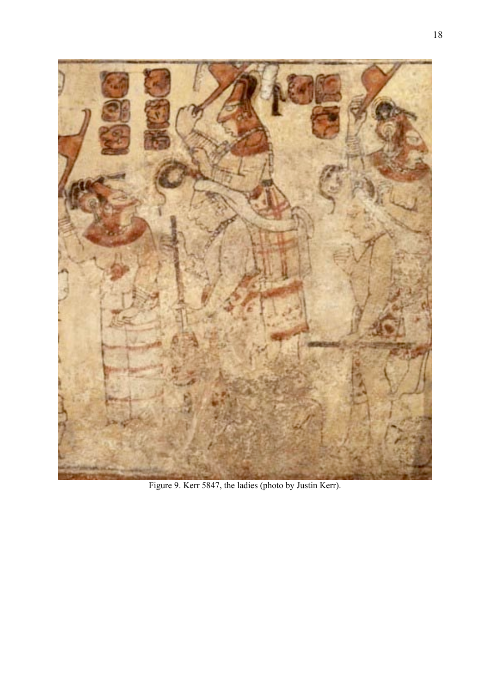

Figure 9. Kerr 5847, the ladies (photo by Justin Kerr).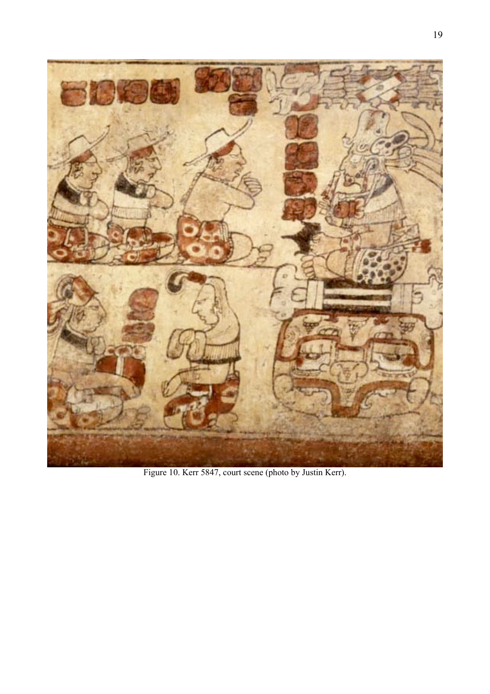

Figure 10. Kerr 5847, court scene (photo by Justin Kerr).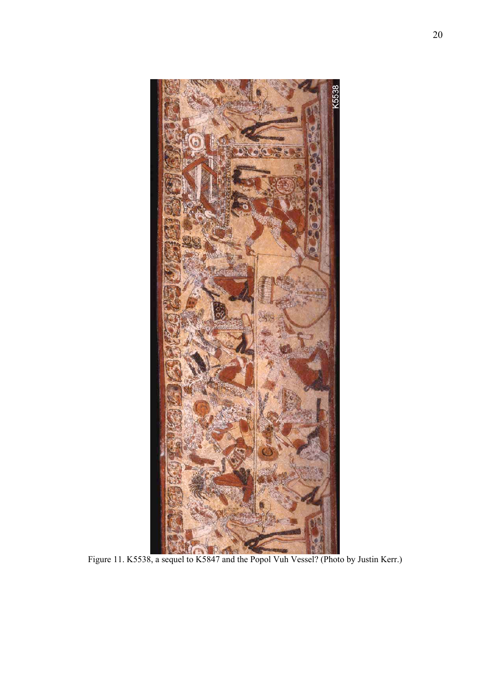

Figure 11. K5538, a sequel to K5847 and the Popol Vuh Vessel? (Photo by Justin Kerr.)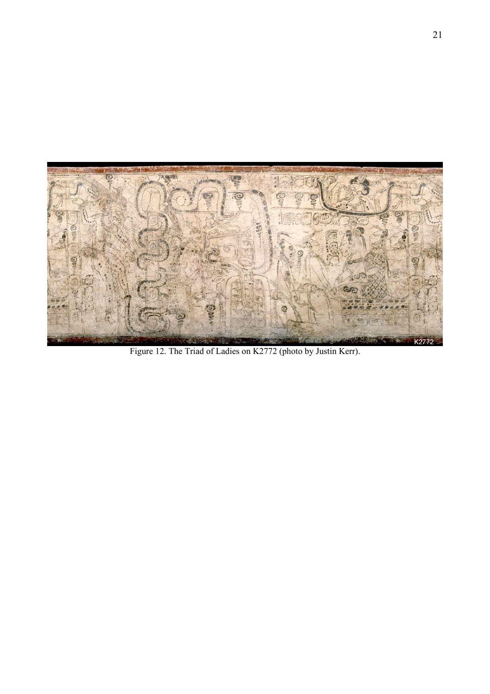

Figure 12. The Triad of Ladies on K2772 (photo by Justin Kerr).